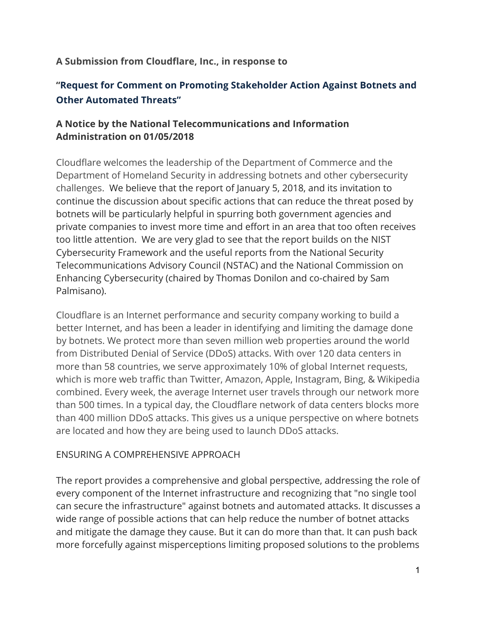#### **A Submission from Cloudflare, Inc., in response to**

# **"Request for Comment on Promoting Stakeholder Action Against Botnets and Other Automated Threats"**

### **A Notice by the National Telecommunications and Information Administration on 01/05/2018**

Cloudflare welcomes the leadership of the Department of Commerce and the Department of Homeland Security in addressing botnets and other cybersecurity challenges. We believe that the report of January 5, 2018, and its invitation to continue the discussion about specific actions that can reduce the threat posed by botnets will be particularly helpful in spurring both government agencies and private companies to invest more time and effort in an area that too often receives too little attention. We are very glad to see that the report builds on the NIST Cybersecurity Framework and the useful reports from the National Security Telecommunications Advisory Council (NSTAC) and the National Commission on Enhancing Cybersecurity (chaired by Thomas Donilon and co-chaired by Sam Palmisano).

Cloudflare is an Internet performance and security company working to build a better Internet, and has been a leader in identifying and limiting the damage done by botnets. We protect more than seven million web properties around the world from Distributed Denial of Service (DDoS) attacks. With over 120 data centers in more than 58 countries, we serve approximately 10% of global Internet requests, which is more web traffic than Twitter, Amazon, Apple, Instagram, Bing, & Wikipedia combined. Every week, the average Internet user travels through our network more than 500 times. In a typical day, the Cloudflare network of data centers blocks more than 400 million DDoS attacks. This gives us a unique perspective on where botnets are located and how they are being used to launch DDoS attacks.

#### ENSURING A COMPREHENSIVE APPROACH

The report provides a comprehensive and global perspective, addressing the role of every component of the Internet infrastructure and recognizing that "no single tool can secure the infrastructure" against botnets and automated attacks. It discusses a wide range of possible actions that can help reduce the number of botnet attacks and mitigate the damage they cause. But it can do more than that. It can push back more forcefully against misperceptions limiting proposed solutions to the problems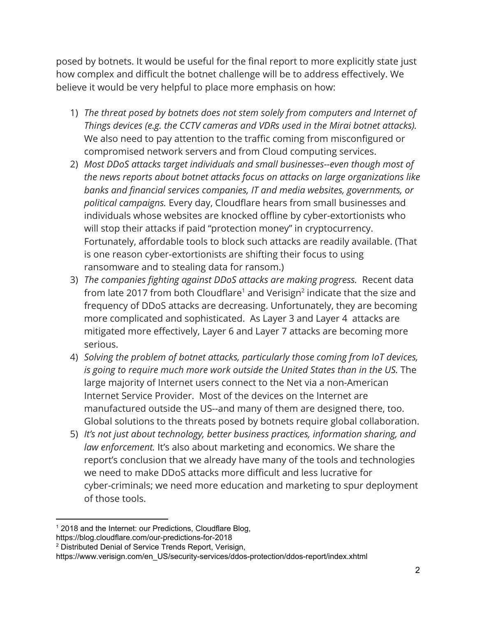posed by botnets. It would be useful for the final report to more explicitly state just how complex and difficult the botnet challenge will be to address effectively. We believe it would be very helpful to place more emphasis on how:

- 1) *The threat posed by botnets does not stem solely from computers and Internet of Things devices (e.g. the CCTV cameras and VDRs used in the Mirai botnet attacks).* We also need to pay attention to the traffic coming from misconfigured or compromised network servers and from Cloud computing services.
- 2) *Most DDoS attacks target individuals and small businesses--even though most of the news reports about botnet attacks focus on attacks on large organizations like banks and financial services companies, IT and media websites, governments, or political campaigns.* Every day, Cloudflare hears from small businesses and individuals whose websites are knocked offline by cyber-extortionists who will stop their attacks if paid "protection money" in cryptocurrency. Fortunately, affordable tools to block such attacks are readily available. (That is one reason cyber-extortionists are shifting their focus to using ransomware and to stealing data for ransom.)
- 3) *The companies fighting against DDoS attacks are making progress.*  Recent data from late 2017 from both Cloudflare<sup>1</sup> and Verisign<sup>2</sup> indicate that the size and frequency of DDoS attacks are decreasing. Unfortunately, they are becoming more complicated and sophisticated. As Layer 3 and Layer 4 attacks are mitigated more effectively, Layer 6 and Layer 7 attacks are becoming more serious.
- 4) *Solving the problem of botnet attacks, particularly those coming from IoT devices, is going to require much more work outside the United States than in the US.* The large majority of Internet users connect to the Net via a non-American Internet Service Provider. Most of the devices on the Internet are manufactured outside the US--and many of them are designed there, too. Global solutions to the threats posed by botnets require global collaboration.
- 5) *It's not just about technology, better business practices, information sharing, and law enforcement.* It's also about marketing and economics. We share the report's conclusion that we already have many of the tools and technologies we need to make DDoS attacks more difficult and less lucrative for cyber-criminals; we need more education and marketing to spur deployment of those tools.

<sup>&</sup>lt;sup>1</sup> 2018 and the Internet: our Predictions, Cloudflare Blog,

https://blog.cloudflare.com/our-predictions-for-2018

<sup>2</sup> Distributed Denial of Service Trends Report, Verisign,

https://www.verisign.com/en\_US/security-services/ddos-protection/ddos-report/index.xhtml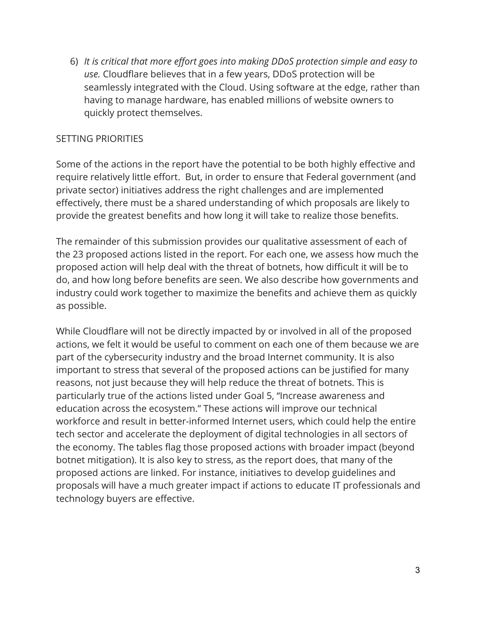6) *It is critical that more effort goes into making DDoS protection simple and easy to use.* Cloudflare believes that in a few years, DDoS protection will be seamlessly integrated with the Cloud. Using software at the edge, rather than having to manage hardware, has enabled millions of website owners to quickly protect themselves.

#### SETTING PRIORITIES

Some of the actions in the report have the potential to be both highly effective and require relatively little effort. But, in order to ensure that Federal government (and private sector) initiatives address the right challenges and are implemented effectively, there must be a shared understanding of which proposals are likely to provide the greatest benefits and how long it will take to realize those benefits.

The remainder of this submission provides our qualitative assessment of each of the 23 proposed actions listed in the report. For each one, we assess how much the proposed action will help deal with the threat of botnets, how difficult it will be to do, and how long before benefits are seen. We also describe how governments and industry could work together to maximize the benefits and achieve them as quickly as possible.

While Cloudflare will not be directly impacted by or involved in all of the proposed actions, we felt it would be useful to comment on each one of them because we are part of the cybersecurity industry and the broad Internet community. It is also important to stress that several of the proposed actions can be justified for many reasons, not just because they will help reduce the threat of botnets. This is particularly true of the actions listed under Goal 5, "Increase awareness and education across the ecosystem." These actions will improve our technical workforce and result in better-informed Internet users, which could help the entire tech sector and accelerate the deployment of digital technologies in all sectors of the economy. The tables flag those proposed actions with broader impact (beyond botnet mitigation). It is also key to stress, as the report does, that many of the proposed actions are linked. For instance, initiatives to develop guidelines and proposals will have a much greater impact if actions to educate IT professionals and technology buyers are effective.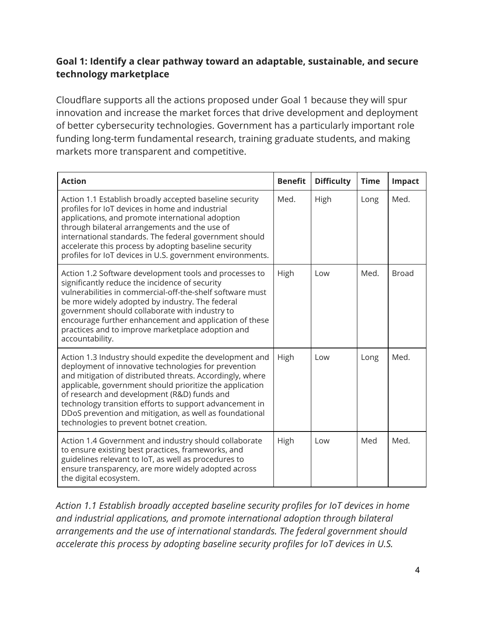## **Goal 1: Identify a clear pathway toward an adaptable, sustainable, and secure technology marketplace**

Cloudflare supports all the actions proposed under Goal 1 because they will spur innovation and increase the market forces that drive development and deployment of better cybersecurity technologies. Government has a particularly important role funding long-term fundamental research, training graduate students, and making markets more transparent and competitive.

| <b>Action</b>                                                                                                                                                                                                                                                                                                                                                                                                                                             | <b>Benefit</b> | <b>Difficulty</b> | <b>Time</b> | Impact       |
|-----------------------------------------------------------------------------------------------------------------------------------------------------------------------------------------------------------------------------------------------------------------------------------------------------------------------------------------------------------------------------------------------------------------------------------------------------------|----------------|-------------------|-------------|--------------|
| Action 1.1 Establish broadly accepted baseline security<br>profiles for IoT devices in home and industrial<br>applications, and promote international adoption<br>through bilateral arrangements and the use of<br>international standards. The federal government should<br>accelerate this process by adopting baseline security<br>profiles for IoT devices in U.S. government environments.                                                           | Med.           | High              | Long        | Med.         |
| Action 1.2 Software development tools and processes to<br>significantly reduce the incidence of security<br>vulnerabilities in commercial-off-the-shelf software must<br>be more widely adopted by industry. The federal<br>government should collaborate with industry to<br>encourage further enhancement and application of these<br>practices and to improve marketplace adoption and<br>accountability.                                              | High           | Low               | Med.        | <b>Broad</b> |
| Action 1.3 Industry should expedite the development and<br>deployment of innovative technologies for prevention<br>and mitigation of distributed threats. Accordingly, where<br>applicable, government should prioritize the application<br>of research and development (R&D) funds and<br>technology transition efforts to support advancement in<br>DDoS prevention and mitigation, as well as foundational<br>technologies to prevent botnet creation. | High           | Low               | Long        | Med.         |
| Action 1.4 Government and industry should collaborate<br>to ensure existing best practices, frameworks, and<br>guidelines relevant to IoT, as well as procedures to<br>ensure transparency, are more widely adopted across<br>the digital ecosystem.                                                                                                                                                                                                      | High           | Low               | Med         | Med.         |

*Action 1.1 Establish broadly accepted baseline security profiles for IoT devices in home and industrial applications, and promote international adoption through bilateral arrangements and the use of international standards. The federal government should accelerate this process by adopting baseline security profiles for IoT devices in U.S.*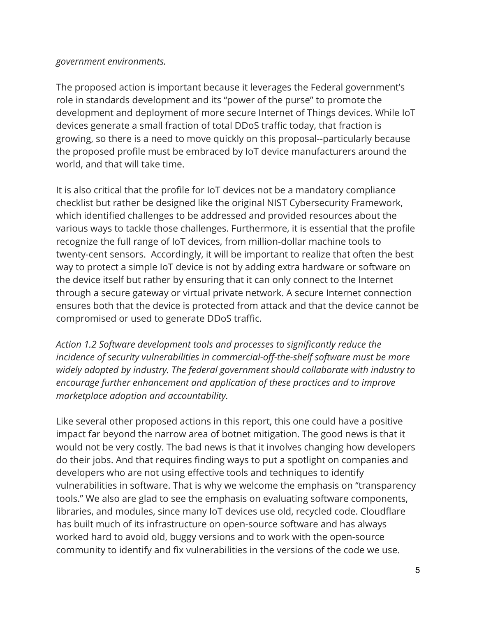#### *government environments.*

The proposed action is important because it leverages the Federal government's role in standards development and its "power of the purse" to promote the development and deployment of more secure Internet of Things devices. While IoT devices generate a small fraction of total DDoS traffic today, that fraction is growing, so there is a need to move quickly on this proposal--particularly because the proposed profile must be embraced by IoT device manufacturers around the world, and that will take time.

It is also critical that the profile for IoT devices not be a mandatory compliance checklist but rather be designed like the original NIST Cybersecurity Framework, which identified challenges to be addressed and provided resources about the various ways to tackle those challenges. Furthermore, it is essential that the profile recognize the full range of IoT devices, from million-dollar machine tools to twenty-cent sensors. Accordingly, it will be important to realize that often the best way to protect a simple IoT device is not by adding extra hardware or software on the device itself but rather by ensuring that it can only connect to the Internet through a secure gateway or virtual private network. A secure Internet connection ensures both that the device is protected from attack and that the device cannot be compromised or used to generate DDoS traffic.

*Action 1.2 Software development tools and processes to significantly reduce the incidence of security vulnerabilities in commercial-off-the-shelf software must be more widely adopted by industry. The federal government should collaborate with industry to encourage further enhancement and application of these practices and to improve marketplace adoption and accountability.*

Like several other proposed actions in this report, this one could have a positive impact far beyond the narrow area of botnet mitigation. The good news is that it would not be very costly. The bad news is that it involves changing how developers do their jobs. And that requires finding ways to put a spotlight on companies and developers who are not using effective tools and techniques to identify vulnerabilities in software. That is why we welcome the emphasis on "transparency tools." We also are glad to see the emphasis on evaluating software components, libraries, and modules, since many IoT devices use old, recycled code. Cloudflare has built much of its infrastructure on open-source software and has always worked hard to avoid old, buggy versions and to work with the open-source community to identify and fix vulnerabilities in the versions of the code we use.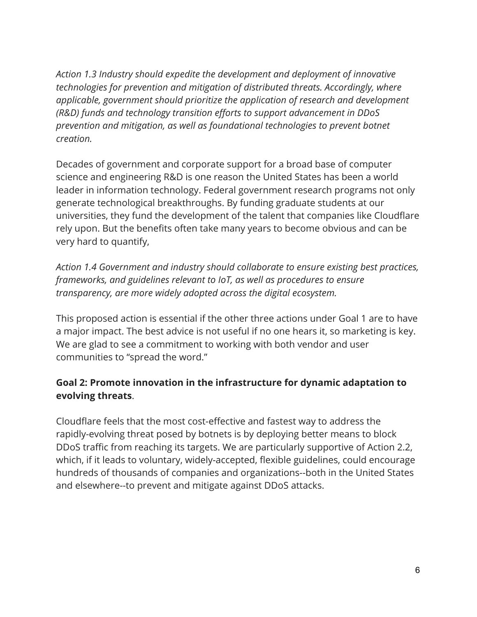*Action 1.3 Industry should expedite the development and deployment of innovative technologies for prevention and mitigation of distributed threats. Accordingly, where applicable, government should prioritize the application of research and development (R&D) funds and technology transition efforts to support advancement in DDoS prevention and mitigation, as well as foundational technologies to prevent botnet creation.*

Decades of government and corporate support for a broad base of computer science and engineering R&D is one reason the United States has been a world leader in information technology. Federal government research programs not only generate technological breakthroughs. By funding graduate students at our universities, they fund the development of the talent that companies like Cloudflare rely upon. But the benefits often take many years to become obvious and can be very hard to quantify,

*Action 1.4 Government and industry should collaborate to ensure existing best practices, frameworks, and guidelines relevant to IoT, as well as procedures to ensure transparency, are more widely adopted across the digital ecosystem.*

This proposed action is essential if the other three actions under Goal 1 are to have a major impact. The best advice is not useful if no one hears it, so marketing is key. We are glad to see a commitment to working with both vendor and user communities to "spread the word."

### **Goal 2: Promote innovation in the infrastructure for dynamic adaptation to evolving threats**.

Cloudflare feels that the most cost-effective and fastest way to address the rapidly-evolving threat posed by botnets is by deploying better means to block DDoS traffic from reaching its targets. We are particularly supportive of Action 2.2, which, if it leads to voluntary, widely-accepted, flexible guidelines, could encourage hundreds of thousands of companies and organizations--both in the United States and elsewhere--to prevent and mitigate against DDoS attacks.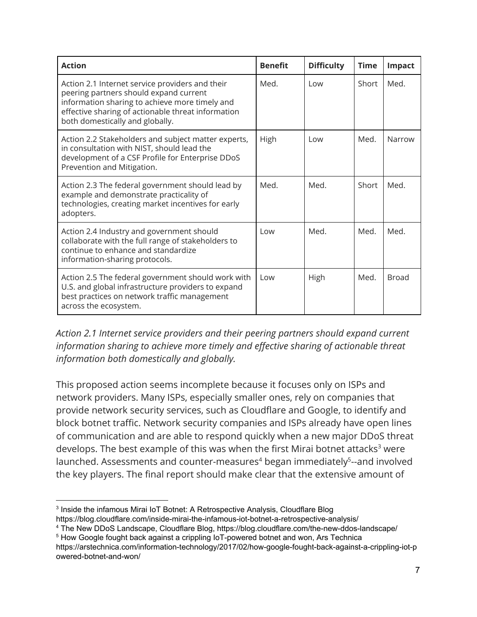| <b>Action</b>                                                                                                                                                                                                                        | <b>Benefit</b> | <b>Difficulty</b> | <b>Time</b> | <b>Impact</b> |
|--------------------------------------------------------------------------------------------------------------------------------------------------------------------------------------------------------------------------------------|----------------|-------------------|-------------|---------------|
| Action 2.1 Internet service providers and their<br>peering partners should expand current<br>information sharing to achieve more timely and<br>effective sharing of actionable threat information<br>both domestically and globally. | Med.           | Low               | Short       | Med.          |
| Action 2.2 Stakeholders and subject matter experts,<br>in consultation with NIST, should lead the<br>development of a CSF Profile for Enterprise DDoS<br>Prevention and Mitigation.                                                  | High           | Low               | Med.        | Narrow        |
| Action 2.3 The federal government should lead by<br>example and demonstrate practicality of<br>technologies, creating market incentives for early<br>adopters.                                                                       | Med.           | Med.              | Short       | Med.          |
| Action 2.4 Industry and government should<br>collaborate with the full range of stakeholders to<br>continue to enhance and standardize<br>information-sharing protocols.                                                             | l ow           | Med.              | Med.        | Med.          |
| Action 2.5 The federal government should work with<br>U.S. and global infrastructure providers to expand<br>best practices on network traffic management<br>across the ecosystem.                                                    | l ow           | High              | Med.        | <b>Broad</b>  |

*Action 2.1 Internet service providers and their peering partners should expand current information sharing to achieve more timely and effective sharing of actionable threat information both domestically and globally.*

This proposed action seems incomplete because it focuses only on ISPs and network providers. Many ISPs, especially smaller ones, rely on companies that provide network security services, such as Cloudflare and Google, to identify and block botnet traffic. Network security companies and ISPs already have open lines of communication and are able to respond quickly when a new major DDoS threat develops. The best example of this was when the first Mirai botnet attacks<sup>3</sup> were launched. Assessments and counter-measures<sup>4</sup> began immediately<sup>5</sup>--and involved the key players. The final report should make clear that the extensive amount of

<sup>4</sup> The New DDoS Landscape, Cloudflare Blog, https://blog.cloudflare.com/the-new-ddos-landscape/

<sup>&</sup>lt;sup>3</sup> Inside the infamous Mirai IoT Botnet: A Retrospective Analysis, Cloudflare Blog https://blog.cloudflare.com/inside-mirai-the-infamous-iot-botnet-a-retrospective-analysis/

<sup>&</sup>lt;sup>5</sup> How Google fought back against a crippling IoT-powered botnet and won, Ars Technica https://arstechnica.com/information-technology/2017/02/how-google-fought-back-against-a-crippling-iot-p owered-botnet-and-won/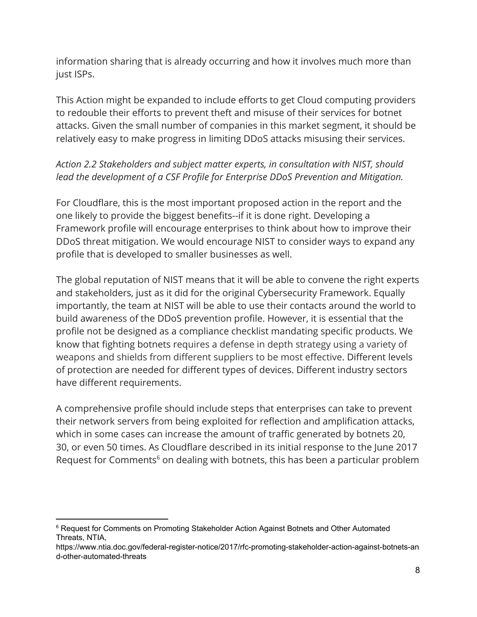information sharing that is already occurring and how it involves much more than just ISPs.

This Action might be expanded to include efforts to get Cloud computing providers to redouble their efforts to prevent theft and misuse of their services for botnet attacks. Given the small number of companies in this market segment, it should be relatively easy to make progress in limiting DDoS attacks misusing their services.

## *Action 2.2 Stakeholders and subject matter experts, in consultation with NIST, should lead the development of a CSF Profile for Enterprise DDoS Prevention and Mitigation.*

For Cloudflare, this is the most important proposed action in the report and the one likely to provide the biggest benefits--if it is done right. Developing a Framework profile will encourage enterprises to think about how to improve their DDoS threat mitigation. We would encourage NIST to consider ways to expand any profile that is developed to smaller businesses as well.

The global reputation of NIST means that it will be able to convene the right experts and stakeholders, just as it did for the original Cybersecurity Framework. Equally importantly, the team at NIST will be able to use their contacts around the world to build awareness of the DDoS prevention profile. However, it is essential that the profile not be designed as a compliance checklist mandating specific products. We know that fighting botnets requires a defense in depth strategy using a variety of weapons and shields from different suppliers to be most effective. Different levels of protection are needed for different types of devices. Different industry sectors have different requirements.

A comprehensive profile should include steps that enterprises can take to prevent their network servers from being exploited for reflection and amplification attacks, which in some cases can increase the amount of traffic generated by botnets 20, 30, or even 50 times. As Cloudflare described in its initial response to the June 2017 Request for Comments<sup>6</sup> on dealing with botnets, this has been a particular problem

<sup>&</sup>lt;sup>6</sup> Request for Comments on Promoting Stakeholder Action Against Botnets and Other Automated Threats, NTIA,

https://www.ntia.doc.gov/federal-register-notice/2017/rfc-promoting-stakeholder-action-against-botnets-an d-other-automated-threats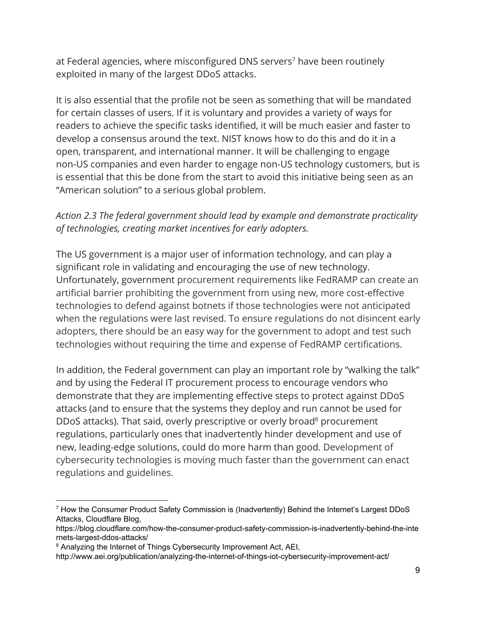at Federal agencies, where misconfigured DNS servers<sup>7</sup> have been routinely exploited in many of the largest DDoS attacks.

It is also essential that the profile not be seen as something that will be mandated for certain classes of users. If it is voluntary and provides a variety of ways for readers to achieve the specific tasks identified, it will be much easier and faster to develop a consensus around the text. NIST knows how to do this and do it in a open, transparent, and international manner. It will be challenging to engage non-US companies and even harder to engage non-US technology customers, but is is essential that this be done from the start to avoid this initiative being seen as an "American solution" to a serious global problem.

## *Action 2.3 The federal government should lead by example and demonstrate practicality of technologies, creating market incentives for early adopters.*

The US government is a major user of information technology, and can play a significant role in validating and encouraging the use of new technology. Unfortunately, government procurement requirements like FedRAMP can create an artificial barrier prohibiting the government from using new, more cost-effective technologies to defend against botnets if those technologies were not anticipated when the regulations were last revised. To ensure regulations do not disincent early adopters, there should be an easy way for the government to adopt and test such technologies without requiring the time and expense of FedRAMP certifications.

In addition, the Federal government can play an important role by "walking the talk" and by using the Federal IT procurement process to encourage vendors who demonstrate that they are implementing effective steps to protect against DDoS attacks (and to ensure that the systems they deploy and run cannot be used for DDoS attacks). That said, overly prescriptive or overly broad<sup>8</sup> procurement regulations, particularly ones that inadvertently hinder development and use of new, leading-edge solutions, could do more harm than good. Development of cybersecurity technologies is moving much faster than the government can enact regulations and guidelines.

<sup>7</sup> How the Consumer Product Safety Commission is (Inadvertently) Behind the Internet's Largest DDoS Attacks, Cloudflare Blog,

https://blog.cloudflare.com/how-the-consumer-product-safety-commission-is-inadvertently-behind-the-inte rnets-largest-ddos-attacks/

<sup>&</sup>lt;sup>8</sup> Analyzing the Internet of Things Cybersecurity Improvement Act, AEI,

http://www.aei.org/publication/analyzing-the-internet-of-things-iot-cybersecurity-improvement-act/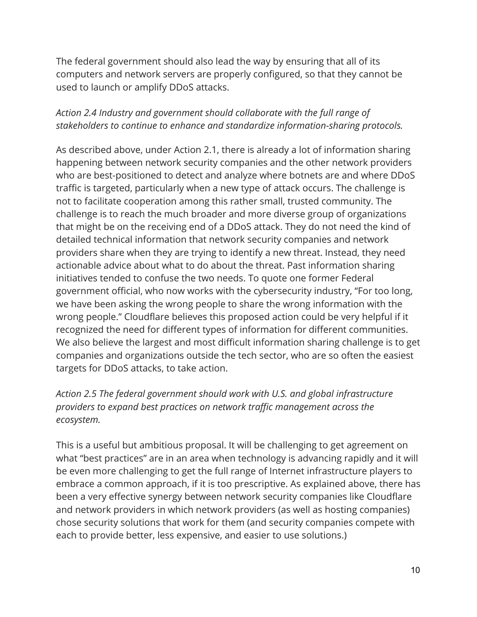The federal government should also lead the way by ensuring that all of its computers and network servers are properly configured, so that they cannot be used to launch or amplify DDoS attacks.

### *Action 2.4 Industry and government should collaborate with the full range of stakeholders to continue to enhance and standardize information-sharing protocols.*

As described above, under Action 2.1, there is already a lot of information sharing happening between network security companies and the other network providers who are best-positioned to detect and analyze where botnets are and where DDoS traffic is targeted, particularly when a new type of attack occurs. The challenge is not to facilitate cooperation among this rather small, trusted community. The challenge is to reach the much broader and more diverse group of organizations that might be on the receiving end of a DDoS attack. They do not need the kind of detailed technical information that network security companies and network providers share when they are trying to identify a new threat. Instead, they need actionable advice about what to do about the threat. Past information sharing initiatives tended to confuse the two needs. To quote one former Federal government official, who now works with the cybersecurity industry, "For too long, we have been asking the wrong people to share the wrong information with the wrong people." Cloudflare believes this proposed action could be very helpful if it recognized the need for different types of information for different communities. We also believe the largest and most difficult information sharing challenge is to get companies and organizations outside the tech sector, who are so often the easiest targets for DDoS attacks, to take action.

### *Action 2.5 The federal government should work with U.S. and global infrastructure providers to expand best practices on network traffic management across the ecosystem.*

This is a useful but ambitious proposal. It will be challenging to get agreement on what "best practices" are in an area when technology is advancing rapidly and it will be even more challenging to get the full range of Internet infrastructure players to embrace a common approach, if it is too prescriptive. As explained above, there has been a very effective synergy between network security companies like Cloudflare and network providers in which network providers (as well as hosting companies) chose security solutions that work for them (and security companies compete with each to provide better, less expensive, and easier to use solutions.)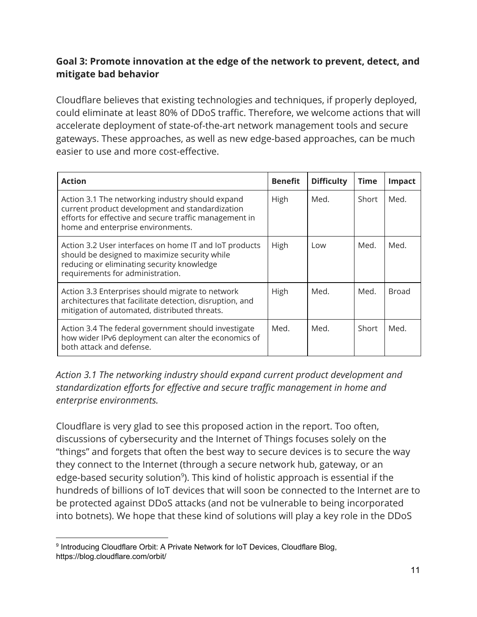## **Goal 3: Promote innovation at the edge of the network to prevent, detect, and mitigate bad behavior**

Cloudflare believes that existing technologies and techniques, if properly deployed, could eliminate at least 80% of DDoS traffic. Therefore, we welcome actions that will accelerate deployment of state-of-the-art network management tools and secure gateways. These approaches, as well as new edge-based approaches, can be much easier to use and more cost-effective.

| <b>Action</b>                                                                                                                                                                                      | <b>Benefit</b> | <b>Difficulty</b> | <b>Time</b> | Impact |
|----------------------------------------------------------------------------------------------------------------------------------------------------------------------------------------------------|----------------|-------------------|-------------|--------|
| Action 3.1 The networking industry should expand<br>current product development and standardization<br>efforts for effective and secure traffic management in<br>home and enterprise environments. | High           | Med.              | Short       | Med.   |
| Action 3.2 User interfaces on home IT and IoT products<br>should be designed to maximize security while<br>reducing or eliminating security knowledge<br>requirements for administration.          | High           | Low               | Med.        | Med.   |
| Action 3.3 Enterprises should migrate to network<br>architectures that facilitate detection, disruption, and<br>mitigation of automated, distributed threats.                                      | High           | Med.              | Med.        | Broad  |
| Action 3.4 The federal government should investigate<br>how wider IPv6 deployment can alter the economics of<br>both attack and defense.                                                           | Med.           | Med.              | Short       | Med.   |

*Action 3.1 The networking industry should expand current product development and standardization efforts for effective and secure traffic management in home and enterprise environments.*

Cloudflare is very glad to see this proposed action in the report. Too often, discussions of cybersecurity and the Internet of Things focuses solely on the "things" and forgets that often the best way to secure devices is to secure the way they connect to the Internet (through a secure network hub, gateway, or an edge-based security solution<sup>9</sup>). This kind of holistic approach is essential if the hundreds of billions of IoT devices that will soon be connected to the Internet are to be protected against DDoS attacks (and not be vulnerable to being incorporated into botnets). We hope that these kind of solutions will play a key role in the DDoS

<sup>&</sup>lt;sup>9</sup> Introducing Cloudflare Orbit: A Private Network for IoT Devices, Cloudflare Blog, https://blog.cloudflare.com/orbit/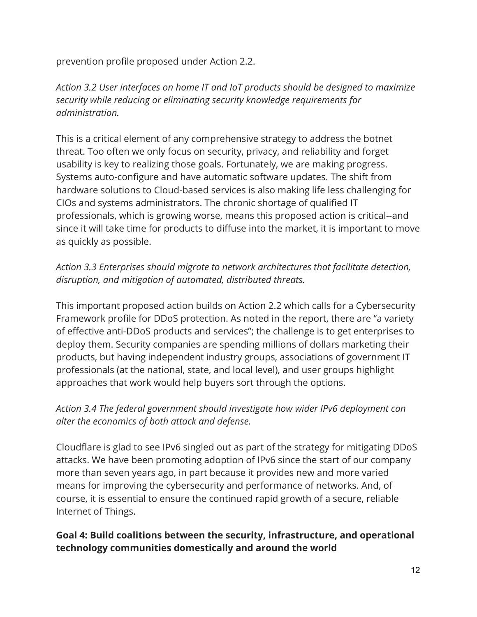prevention profile proposed under Action 2.2.

*Action 3.2 User interfaces on home IT and IoT products should be designed to maximize security while reducing or eliminating security knowledge requirements for administration.*

This is a critical element of any comprehensive strategy to address the botnet threat. Too often we only focus on security, privacy, and reliability and forget usability is key to realizing those goals. Fortunately, we are making progress. Systems auto-configure and have automatic software updates. The shift from hardware solutions to Cloud-based services is also making life less challenging for CIOs and systems administrators. The chronic shortage of qualified IT professionals, which is growing worse, means this proposed action is critical--and since it will take time for products to diffuse into the market, it is important to move as quickly as possible.

## *Action 3.3 Enterprises should migrate to network architectures that facilitate detection, disruption, and mitigation of automated, distributed threats.*

This important proposed action builds on Action 2.2 which calls for a Cybersecurity Framework profile for DDoS protection. As noted in the report, there are "a variety of effective anti-DDoS products and services"; the challenge is to get enterprises to deploy them. Security companies are spending millions of dollars marketing their products, but having independent industry groups, associations of government IT professionals (at the national, state, and local level), and user groups highlight approaches that work would help buyers sort through the options.

## *Action 3.4 The federal government should investigate how wider IPv6 deployment can alter the economics of both attack and defense.*

Cloudflare is glad to see IPv6 singled out as part of the strategy for mitigating DDoS attacks. We have been promoting adoption of IPv6 since the start of our company more than seven years ago, in part because it provides new and more varied means for improving the cybersecurity and performance of networks. And, of course, it is essential to ensure the continued rapid growth of a secure, reliable Internet of Things.

## **Goal 4: Build coalitions between the security, infrastructure, and operational technology communities domestically and around the world**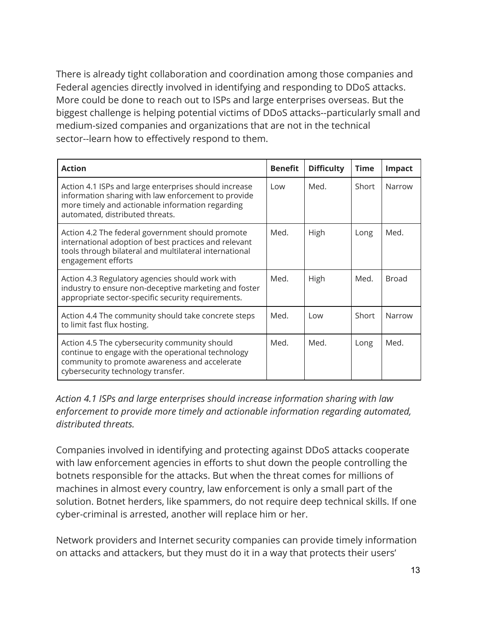There is already tight collaboration and coordination among those companies and Federal agencies directly involved in identifying and responding to DDoS attacks. More could be done to reach out to ISPs and large enterprises overseas. But the biggest challenge is helping potential victims of DDoS attacks--particularly small and medium-sized companies and organizations that are not in the technical sector--learn how to effectively respond to them.

| <b>Action</b>                                                                                                                                                                                       | <b>Benefit</b> | <b>Difficulty</b> | <b>Time</b> | <b>Impact</b> |
|-----------------------------------------------------------------------------------------------------------------------------------------------------------------------------------------------------|----------------|-------------------|-------------|---------------|
| Action 4.1 ISPs and large enterprises should increase<br>information sharing with law enforcement to provide<br>more timely and actionable information regarding<br>automated, distributed threats. | Low            | Med.              | Short       | Narrow        |
| Action 4.2 The federal government should promote<br>international adoption of best practices and relevant<br>tools through bilateral and multilateral international<br>engagement efforts           | Med.           | High              | Long        | Med.          |
| Action 4.3 Regulatory agencies should work with<br>industry to ensure non-deceptive marketing and foster<br>appropriate sector-specific security requirements.                                      | Med.           | High              | Med.        | <b>Broad</b>  |
| Action 4.4 The community should take concrete steps<br>to limit fast flux hosting.                                                                                                                  | Med.           | l ow              | Short       | Narrow        |
| Action 4.5 The cybersecurity community should<br>continue to engage with the operational technology<br>community to promote awareness and accelerate<br>cybersecurity technology transfer.          | Med.           | Med.              | Long        | Med.          |

*Action 4.1 ISPs and large enterprises should increase information sharing with law enforcement to provide more timely and actionable information regarding automated, distributed threats.*

Companies involved in identifying and protecting against DDoS attacks cooperate with law enforcement agencies in efforts to shut down the people controlling the botnets responsible for the attacks. But when the threat comes for millions of machines in almost every country, law enforcement is only a small part of the solution. Botnet herders, like spammers, do not require deep technical skills. If one cyber-criminal is arrested, another will replace him or her.

Network providers and Internet security companies can provide timely information on attacks and attackers, but they must do it in a way that protects their users'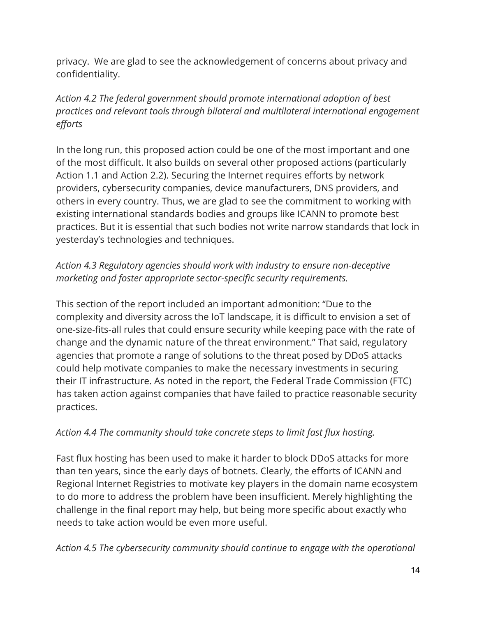privacy. We are glad to see the acknowledgement of concerns about privacy and confidentiality.

# *Action 4.2 The federal government should promote international adoption of best practices and relevant tools through bilateral and multilateral international engagement efforts*

In the long run, this proposed action could be one of the most important and one of the most difficult. It also builds on several other proposed actions (particularly Action 1.1 and Action 2.2). Securing the Internet requires efforts by network providers, cybersecurity companies, device manufacturers, DNS providers, and others in every country. Thus, we are glad to see the commitment to working with existing international standards bodies and groups like ICANN to promote best practices. But it is essential that such bodies not write narrow standards that lock in yesterday's technologies and techniques.

# *Action 4.3 Regulatory agencies should work with industry to ensure non-deceptive marketing and foster appropriate sector-specific security requirements.*

This section of the report included an important admonition: "Due to the complexity and diversity across the IoT landscape, it is difficult to envision a set of one-size-fits-all rules that could ensure security while keeping pace with the rate of change and the dynamic nature of the threat environment." That said, regulatory agencies that promote a range of solutions to the threat posed by DDoS attacks could help motivate companies to make the necessary investments in securing their IT infrastructure. As noted in the report, the Federal Trade Commission (FTC) has taken action against companies that have failed to practice reasonable security practices.

# *Action 4.4 The community should take concrete steps to limit fast flux hosting.*

Fast flux hosting has been used to make it harder to block DDoS attacks for more than ten years, since the early days of botnets. Clearly, the efforts of ICANN and Regional Internet Registries to motivate key players in the domain name ecosystem to do more to address the problem have been insufficient. Merely highlighting the challenge in the final report may help, but being more specific about exactly who needs to take action would be even more useful.

*Action 4.5 The cybersecurity community should continue to engage with the operational*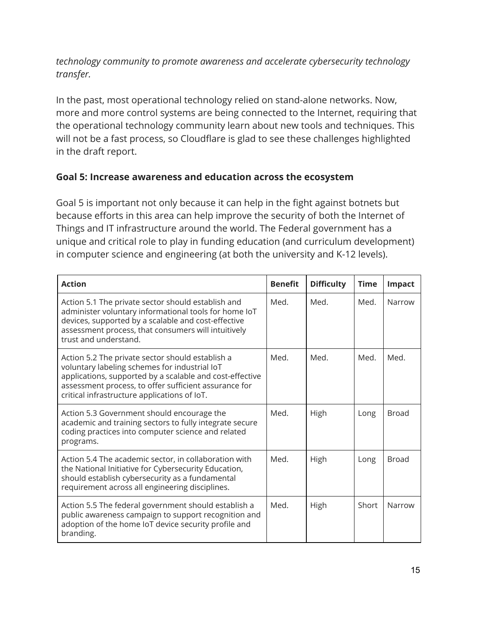### *technology community to promote awareness and accelerate cybersecurity technology transfer.*

In the past, most operational technology relied on stand-alone networks. Now, more and more control systems are being connected to the Internet, requiring that the operational technology community learn about new tools and techniques. This will not be a fast process, so Cloudflare is glad to see these challenges highlighted in the draft report.

### **Goal 5: Increase awareness and education across the ecosystem**

Goal 5 is important not only because it can help in the fight against botnets but because efforts in this area can help improve the security of both the Internet of Things and IT infrastructure around the world. The Federal government has a unique and critical role to play in funding education (and curriculum development) in computer science and engineering (at both the university and K-12 levels).

| <b>Action</b>                                                                                                                                                                                                                                                          | <b>Benefit</b> | <b>Difficulty</b> | <b>Time</b> | Impact       |
|------------------------------------------------------------------------------------------------------------------------------------------------------------------------------------------------------------------------------------------------------------------------|----------------|-------------------|-------------|--------------|
| Action 5.1 The private sector should establish and<br>administer voluntary informational tools for home IoT<br>devices, supported by a scalable and cost-effective<br>assessment process, that consumers will intuitively<br>trust and understand.                     | Med.           | Med.              | Med.        | Narrow       |
| Action 5.2 The private sector should establish a<br>voluntary labeling schemes for industrial IoT<br>applications, supported by a scalable and cost-effective<br>assessment process, to offer sufficient assurance for<br>critical infrastructure applications of IoT. | Med.           | Med.              | Med.        | Med.         |
| Action 5.3 Government should encourage the<br>academic and training sectors to fully integrate secure<br>coding practices into computer science and related<br>programs.                                                                                               | Med.           | High              | Long        | <b>Broad</b> |
| Action 5.4 The academic sector, in collaboration with<br>the National Initiative for Cybersecurity Education,<br>should establish cybersecurity as a fundamental<br>requirement across all engineering disciplines.                                                    | Med.           | High              | Long        | <b>Broad</b> |
| Action 5.5 The federal government should establish a<br>public awareness campaign to support recognition and<br>adoption of the home IoT device security profile and<br>branding.                                                                                      | Med.           | High              | Short       | Narrow       |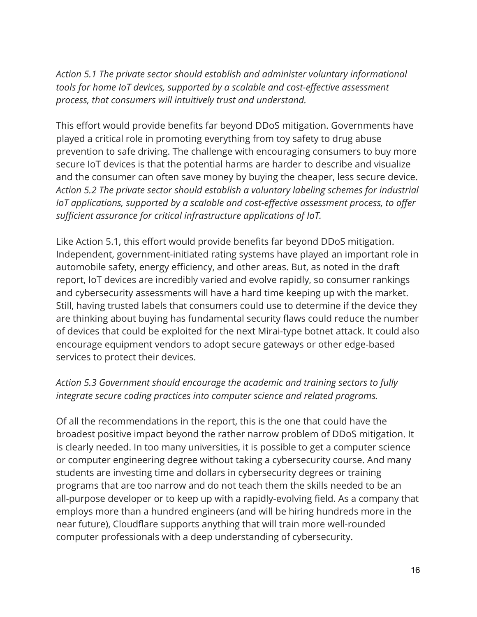*Action 5.1 The private sector should establish and administer voluntary informational tools for home IoT devices, supported by a scalable and cost-effective assessment process, that consumers will intuitively trust and understand.*

This effort would provide benefits far beyond DDoS mitigation. Governments have played a critical role in promoting everything from toy safety to drug abuse prevention to safe driving. The challenge with encouraging consumers to buy more secure IoT devices is that the potential harms are harder to describe and visualize and the consumer can often save money by buying the cheaper, less secure device. *Action 5.2 The private sector should establish a voluntary labeling schemes for industrial IoT applications, supported by a scalable and cost-effective assessment process, to offer sufficient assurance for critical infrastructure applications of IoT.*

Like Action 5.1, this effort would provide benefits far beyond DDoS mitigation. Independent, government-initiated rating systems have played an important role in automobile safety, energy efficiency, and other areas. But, as noted in the draft report, IoT devices are incredibly varied and evolve rapidly, so consumer rankings and cybersecurity assessments will have a hard time keeping up with the market. Still, having trusted labels that consumers could use to determine if the device they are thinking about buying has fundamental security flaws could reduce the number of devices that could be exploited for the next Mirai-type botnet attack. It could also encourage equipment vendors to adopt secure gateways or other edge-based services to protect their devices.

## *Action 5.3 Government should encourage the academic and training sectors to fully integrate secure coding practices into computer science and related programs.*

Of all the recommendations in the report, this is the one that could have the broadest positive impact beyond the rather narrow problem of DDoS mitigation. It is clearly needed. In too many universities, it is possible to get a computer science or computer engineering degree without taking a cybersecurity course. And many students are investing time and dollars in cybersecurity degrees or training programs that are too narrow and do not teach them the skills needed to be an all-purpose developer or to keep up with a rapidly-evolving field. As a company that employs more than a hundred engineers (and will be hiring hundreds more in the near future), Cloudflare supports anything that will train more well-rounded computer professionals with a deep understanding of cybersecurity.